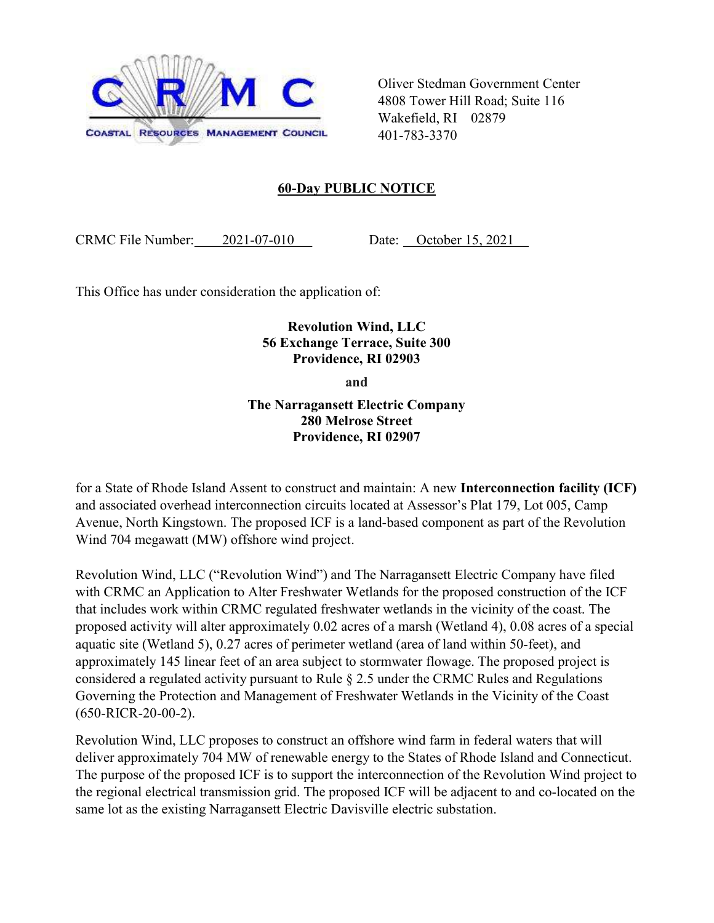

Oliver Stedman Government Center 4808 Tower Hill Road; Suite 116 Wakefield, RI 02879 401-783-3370

## 60-Day PUBLIC NOTICE

CRMC File Number: 2021-07-010 Date: October 15, 2021

This Office has under consideration the application of:

## Revolution Wind, LLC 56 Exchange Terrace, Suite 300 Providence, RI 02903

and

The Narragansett Electric Company 280 Melrose Street Providence, RI 02907

for a State of Rhode Island Assent to construct and maintain: A new Interconnection facility (ICF) and associated overhead interconnection circuits located at Assessor's Plat 179, Lot 005, Camp Avenue, North Kingstown. The proposed ICF is a land-based component as part of the Revolution Wind 704 megawatt (MW) offshore wind project.

Revolution Wind, LLC ("Revolution Wind") and The Narragansett Electric Company have filed with CRMC an Application to Alter Freshwater Wetlands for the proposed construction of the ICF that includes work within CRMC regulated freshwater wetlands in the vicinity of the coast. The proposed activity will alter approximately 0.02 acres of a marsh (Wetland 4), 0.08 acres of a special aquatic site (Wetland 5), 0.27 acres of perimeter wetland (area of land within 50-feet), and approximately 145 linear feet of an area subject to stormwater flowage. The proposed project is considered a regulated activity pursuant to Rule § 2.5 under the CRMC Rules and Regulations Governing the Protection and Management of Freshwater Wetlands in the Vicinity of the Coast (650-RICR-20-00-2).

Revolution Wind, LLC proposes to construct an offshore wind farm in federal waters that will deliver approximately 704 MW of renewable energy to the States of Rhode Island and Connecticut. The purpose of the proposed ICF is to support the interconnection of the Revolution Wind project to the regional electrical transmission grid. The proposed ICF will be adjacent to and co-located on the same lot as the existing Narragansett Electric Davisville electric substation.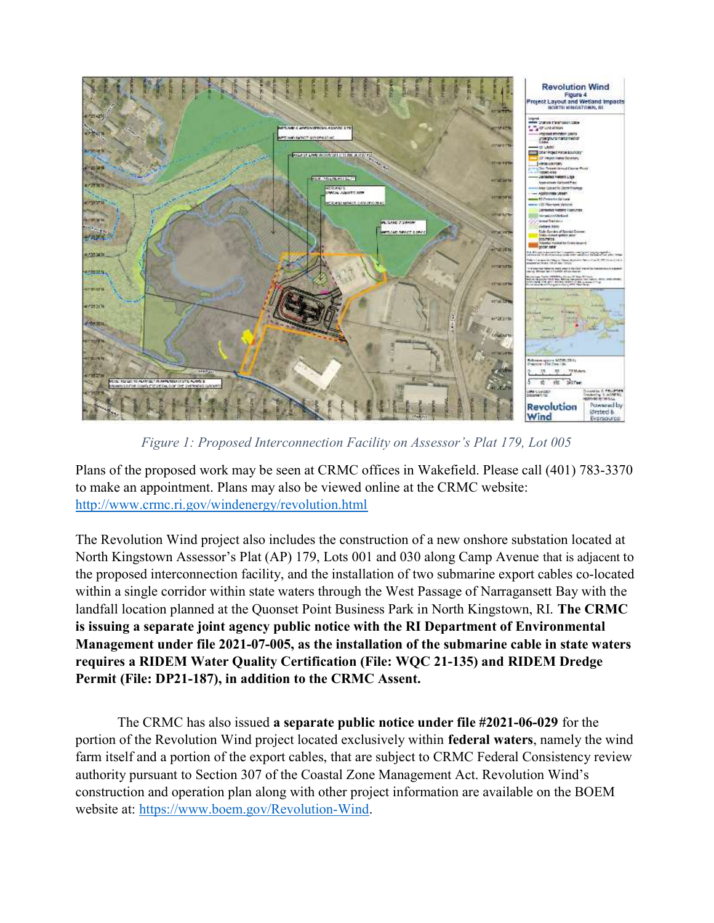

Figure 1: Proposed Interconnection Facility on Assessor's Plat 179, Lot 005

Plans of the proposed work may be seen at CRMC offices in Wakefield. Please call (401) 783-3370 to make an appointment. Plans may also be viewed online at the CRMC website: http://www.crmc.ri.gov/windenergy/revolution.html

The Revolution Wind project also includes the construction of a new onshore substation located at North Kingstown Assessor's Plat (AP) 179, Lots 001 and 030 along Camp Avenue that is adjacent to the proposed interconnection facility, and the installation of two submarine export cables co-located within a single corridor within state waters through the West Passage of Narragansett Bay with the landfall location planned at the Quonset Point Business Park in North Kingstown, RI. The CRMC is issuing a separate joint agency public notice with the RI Department of Environmental Management under file 2021-07-005, as the installation of the submarine cable in state waters requires a RIDEM Water Quality Certification (File: WQC 21-135) and RIDEM Dredge Permit (File: DP21-187), in addition to the CRMC Assent.

The CRMC has also issued a separate public notice under file #2021-06-029 for the portion of the Revolution Wind project located exclusively within federal waters, namely the wind farm itself and a portion of the export cables, that are subject to CRMC Federal Consistency review authority pursuant to Section 307 of the Coastal Zone Management Act. Revolution Wind's construction and operation plan along with other project information are available on the BOEM website at: https://www.boem.gov/Revolution-Wind.